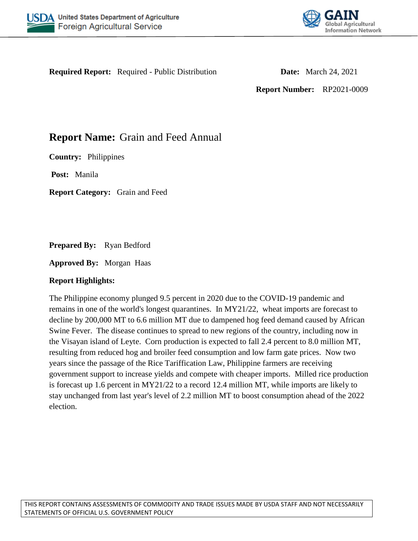



**Required Report:** Required - Public Distribution **Date:** March 24, 2021

**Report Number:** RP2021-0009

# **Report Name:** Grain and Feed Annual

**Country:** Philippines

**Post:** Manila

**Report Category:** Grain and Feed

**Prepared By:** Ryan Bedford

**Approved By:** Morgan Haas

# **Report Highlights:**

The Philippine economy plunged 9.5 percent in 2020 due to the COVID-19 pandemic and remains in one of the world's longest quarantines. In MY21/22, wheat imports are forecast to decline by 200,000 MT to 6.6 million MT due to dampened hog feed demand caused by African Swine Fever. The disease continues to spread to new regions of the country, including now in the Visayan island of Leyte. Corn production is expected to fall 2.4 percent to 8.0 million MT, resulting from reduced hog and broiler feed consumption and low farm gate prices. Now two years since the passage of the Rice Tariffication Law, Philippine farmers are receiving government support to increase yields and compete with cheaper imports. Milled rice production is forecast up 1.6 percent in MY21/22 to a record 12.4 million MT, while imports are likely to stay unchanged from last year's level of 2.2 million MT to boost consumption ahead of the 2022 election.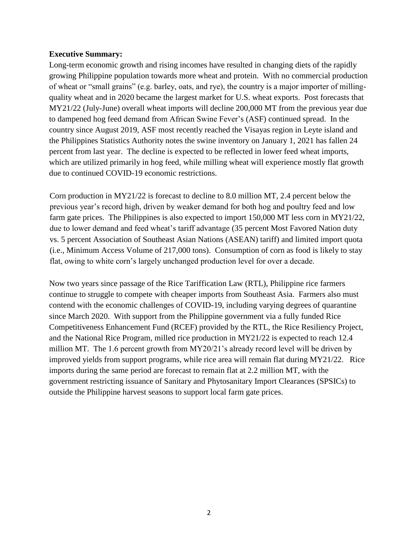#### **Executive Summary:**

Long-term economic growth and rising incomes have resulted in changing diets of the rapidly growing Philippine population towards more wheat and protein. With no commercial production of wheat or "small grains" (e.g. barley, oats, and rye), the country is a major importer of millingquality wheat and in 2020 became the largest market for U.S. wheat exports. Post forecasts that MY21/22 (July-June) overall wheat imports will decline 200,000 MT from the previous year due to dampened hog feed demand from African Swine Fever's (ASF) continued spread. In the country since August 2019, ASF most recently reached the Visayas region in Leyte island and the Philippines Statistics Authority notes the swine inventory on January 1, 2021 has fallen 24 percent from last year. The decline is expected to be reflected in lower feed wheat imports, which are utilized primarily in hog feed, while milling wheat will experience mostly flat growth due to continued COVID-19 economic restrictions.

Corn production in MY21/22 is forecast to decline to 8.0 million MT, 2.4 percent below the previous year's record high, driven by weaker demand for both hog and poultry feed and low farm gate prices. The Philippines is also expected to import 150,000 MT less corn in MY21/22, due to lower demand and feed wheat's tariff advantage (35 percent Most Favored Nation duty vs. 5 percent Association of Southeast Asian Nations (ASEAN) tariff) and limited import quota (i.e., Minimum Access Volume of 217,000 tons). Consumption of corn as food is likely to stay flat, owing to white corn's largely unchanged production level for over a decade.

Now two years since passage of the Rice Tariffication Law (RTL), Philippine rice farmers continue to struggle to compete with cheaper imports from Southeast Asia. Farmers also must contend with the economic challenges of COVID-19, including varying degrees of quarantine since March 2020. With support from the Philippine government via a fully funded Rice Competitiveness Enhancement Fund (RCEF) provided by the RTL, the Rice Resiliency Project, and the National Rice Program, milled rice production in MY21/22 is expected to reach 12.4 million MT. The 1.6 percent growth from MY20/21's already record level will be driven by improved yields from support programs, while rice area will remain flat during MY21/22. Rice imports during the same period are forecast to remain flat at 2.2 million MT, with the government restricting issuance of Sanitary and Phytosanitary Import Clearances (SPSICs) to outside the Philippine harvest seasons to support local farm gate prices.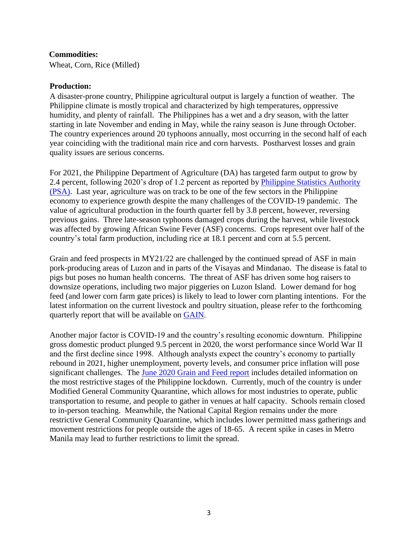#### **Commodities:**

Wheat, Corn, Rice (Milled)

#### **Production:**

A disaster-prone country, Philippine agricultural output is largely a function of weather. The Philippine climate is mostly tropical and characterized by high temperatures, oppressive humidity, and plenty of rainfall. The Philippines has a wet and a dry season, with the latter starting in late November and ending in May, while the rainy season is June through October. The country experiences around 20 typhoons annually, most occurring in the second half of each year coinciding with the traditional main rice and corn harvests. Postharvest losses and grain quality issues are serious concerns.

For 2021, the Philippine Department of Agriculture (DA) has targeted farm output to grow by 2.4 percent, following 2020's drop of 1.2 percent as reported by [Philippine Statistics Authority](https://psa.gov.ph/content/agricultural-production-decreased-fourth-quarter-2020)  [\(PSA\).](https://psa.gov.ph/content/agricultural-production-decreased-fourth-quarter-2020) Last year, agriculture was on track to be one of the few sectors in the Philippine economy to experience growth despite the many challenges of the COVID-19 pandemic. The value of agricultural production in the fourth quarter fell by 3.8 percent, however, reversing previous gains. Three late-season typhoons damaged crops during the harvest, while livestock was affected by growing African Swine Fever (ASF) concerns. Crops represent over half of the country's total farm production, including rice at 18.1 percent and corn at 5.5 percent.

Grain and feed prospects in MY21/22 are challenged by the continued spread of ASF in main pork-producing areas of Luzon and in parts of the Visayas and Mindanao. The disease is fatal to pigs but poses no human health concerns. The threat of ASF has driven some hog raisers to downsize operations, including two major piggeries on Luzon Island. Lower demand for hog feed (and lower corn farm gate prices) is likely to lead to lower corn planting intentions. For the latest information on the current livestock and poultry situation, please refer to the forthcoming quarterly report that will be available on [GAIN.](https://gain.fas.usda.gov/)

Another major factor is COVID-19 and the country's resulting economic downturn. Philippine gross domestic product plunged 9.5 percent in 2020, the worst performance since World War II and the first decline since 1998. Although analysts expect the country's economy to partially rebound in 2021, higher unemployment, poverty levels, and consumer price inflation will pose significant challenges. The [June 2020 Grain and Feed report](https://apps.fas.usda.gov/newgainapi/api/Report/DownloadReportByFileName?fileName=Grain%20and%20Feed%20Update_Manila_Philippines_06-17-2020) includes detailed information on the most restrictive stages of the Philippine lockdown. Currently, much of the country is under Modified General Community Quarantine, which allows for most industries to operate, public transportation to resume, and people to gather in venues at half capacity. Schools remain closed to in-person teaching. Meanwhile, the National Capital Region remains under the more restrictive General Community Quarantine, which includes lower permitted mass gatherings and movement restrictions for people outside the ages of 18-65. A recent spike in cases in Metro Manila may lead to further restrictions to limit the spread.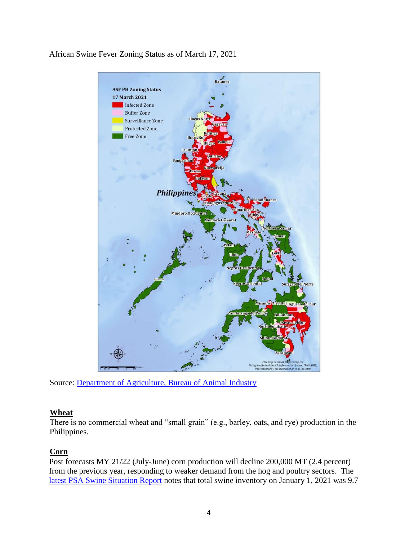



Source: [Department of Agriculture, Bureau of Animal Industry](https://drive.google.com/file/d/1LJeK1jIUM4_BWAIaxwckdxnlBs2vKvLf/view?fbclid=IwAR1j9s1daei7n6hJ6JZhV6c2jX5q4RQWb7oeIEXQrpkgqvaOZKfhB2UPIuQ)

# **Wheat**

There is no commercial wheat and "small grain" (e.g., barley, oats, and rye) production in the Philippines.

# **Corn**

Post forecasts MY 21/22 (July-June) corn production will decline 200,000 MT (2.4 percent) from the previous year, responding to weaker demand from the hog and poultry sectors. The [latest PSA Swine Situation Report](https://psa.gov.ph/sites/default/files/8_%5BONSrev-cleared%5D%20SR_Q4%202020%20Swine%20Situation%20Report_signed.pdf) notes that total swine inventory on January 1, 2021 was 9.7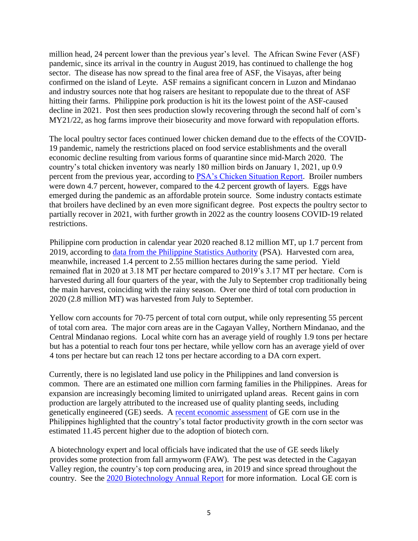million head, 24 percent lower than the previous year's level. The African Swine Fever (ASF) pandemic, since its arrival in the country in August 2019, has continued to challenge the hog sector. The disease has now spread to the final area free of ASF, the Visayas, after being confirmed on the island of Leyte. ASF remains a significant concern in Luzon and Mindanao and industry sources note that hog raisers are hesitant to repopulate due to the threat of ASF hitting their farms. Philippine pork production is hit its the lowest point of the ASF-caused decline in 2021. Post then sees production slowly recovering through the second half of corn's MY21/22, as hog farms improve their biosecurity and move forward with repopulation efforts.

The local poultry sector faces continued lower chicken demand due to the effects of the COVID-19 pandemic, namely the restrictions placed on food service establishments and the overall economic decline resulting from various forms of quarantine since mid-March 2020. The country's total chicken inventory was nearly 180 million birds on January 1, 2021, up 0.9 percent from the previous year, according to [PSA's Chicken Situation Report.](https://psa.gov.ph/sites/default/files/1_%5BONSrev-cleared%5D%20SR_Q4%202020%20Chicken%20Situation%20Report_signed.pdf) Broiler numbers were down 4.7 percent, however, compared to the 4.2 percent growth of layers. Eggs have emerged during the pandemic as an affordable protein source. Some industry contacts estimate that broilers have declined by an even more significant degree. Post expects the poultry sector to partially recover in 2021, with further growth in 2022 as the country loosens COVID-19 related restrictions.

Philippine corn production in calendar year 2020 reached 8.12 million MT, up 1.7 percent from 2019, according to [data from the Philippine Statistics Authority](https://openstat.psa.gov.ph/Database/Agriculture-Forestry-Fisheries) (PSA). Harvested corn area, meanwhile, increased 1.4 percent to 2.55 million hectares during the same period. Yield remained flat in 2020 at 3.18 MT per hectare compared to 2019's 3.17 MT per hectare. Corn is harvested during all four quarters of the year, with the July to September crop traditionally being the main harvest, coinciding with the rainy season. Over one third of total corn production in 2020 (2.8 million MT) was harvested from July to September.

Yellow corn accounts for 70-75 percent of total corn output, while only representing 55 percent of total corn area. The major corn areas are in the Cagayan Valley, Northern Mindanao, and the Central Mindanao regions. Local white corn has an average yield of roughly 1.9 tons per hectare but has a potential to reach four tons per hectare, while yellow corn has an average yield of over 4 tons per hectare but can reach 12 tons per hectare according to a DA corn expert.

Currently, there is no legislated land use policy in the Philippines and land conversion is common. There are an estimated one million corn farming families in the Philippines. Areas for expansion are increasingly becoming limited to unirrigated upland areas. Recent gains in corn production are largely attributed to the increased use of quality planting seeds, including genetically engineered (GE) seeds. A [recent economic assessment](http://www.hillpublisher.com/UpFile/202103/20210308175238.pdf) of GE corn use in the Philippines highlighted that the country's total factor productivity growth in the corn sector was estimated 11.45 percent higher due to the adoption of biotech corn.

A biotechnology expert and local officials have indicated that the use of GE seeds likely provides some protection from fall armyworm (FAW). The pest was detected in the Cagayan Valley region, the country's top corn producing area, in 2019 and since spread throughout the country. See the [2020 Biotechnology Annual Report](https://apps.fas.usda.gov/newgainapi/api/Report/DownloadReportByFileName?fileName=Agricultural%20Biotechnology%20Annual_Manila_Philippines_10-20-2020) for more information. Local GE corn is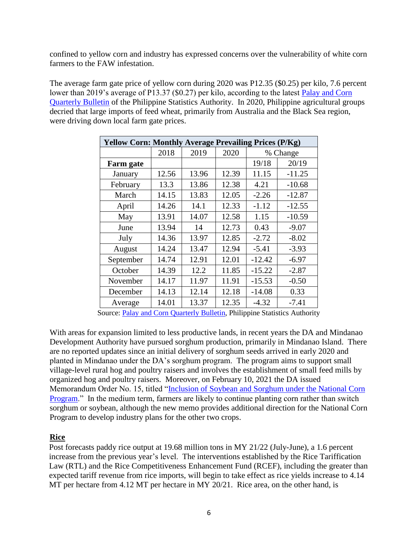confined to yellow corn and industry has expressed concerns over the vulnerability of white corn farmers to the FAW infestation.

The average farm gate price of yellow corn during 2020 was P12.35 (\$0.25) per kilo, 7.6 percent lower than 2019's average of P13.37 (\$0.27) per kilo, according to the latest Palay and Corn [Quarterly Bulletin](https://psa.gov.ph/sites/default/files/Palay%20and%20Corn%20Quarterly%20Bulletin%2C%20January%202021.pdf) of the Philippine Statistics Authority. In 2020, Philippine agricultural groups decried that large imports of feed wheat, primarily from Australia and the Black Sea region, were driving down local farm gate prices.

| <b>Yellow Corn: Monthly Average Prevailing Prices (P/Kg)</b> |       |       |       |          |          |  |  |  |  |
|--------------------------------------------------------------|-------|-------|-------|----------|----------|--|--|--|--|
|                                                              | 2018  | 2019  | 2020  |          | % Change |  |  |  |  |
| Farm gate                                                    |       |       |       | 19/18    | 20/19    |  |  |  |  |
| January                                                      | 12.56 | 13.96 | 12.39 | 11.15    | $-11.25$ |  |  |  |  |
| February                                                     | 13.3  | 13.86 | 12.38 | 4.21     | $-10.68$ |  |  |  |  |
| March                                                        | 14.15 | 13.83 | 12.05 | $-2.26$  | $-12.87$ |  |  |  |  |
| April                                                        | 14.26 | 14.1  | 12.33 | $-1.12$  | $-12.55$ |  |  |  |  |
| May                                                          | 13.91 | 14.07 | 12.58 | 1.15     | $-10.59$ |  |  |  |  |
| June                                                         | 13.94 | 14    | 12.73 | 0.43     | $-9.07$  |  |  |  |  |
| July                                                         | 14.36 | 13.97 | 12.85 | $-2.72$  | $-8.02$  |  |  |  |  |
| August                                                       | 14.24 | 13.47 | 12.94 | $-5.41$  | $-3.93$  |  |  |  |  |
| September                                                    | 14.74 | 12.91 | 12.01 | $-12.42$ | $-6.97$  |  |  |  |  |
| October                                                      | 14.39 | 12.2  | 11.85 | $-15.22$ | $-2.87$  |  |  |  |  |
| November                                                     | 14.17 | 11.97 | 11.91 | $-15.53$ | $-0.50$  |  |  |  |  |
| December                                                     | 14.13 | 12.14 | 12.18 | $-14.08$ | 0.33     |  |  |  |  |
| Average                                                      | 14.01 | 13.37 | 12.35 | $-4.32$  | $-7.41$  |  |  |  |  |

Source: [Palay and Corn Quarterly Bulletin,](https://psa.gov.ph/sites/default/files/Palay%20and%20Corn%20Quarterly%20Bulletin%2C%20January%202021.pdf) Philippine Statistics Authority

With areas for expansion limited to less productive lands, in recent years the DA and Mindanao Development Authority have pursued sorghum production, primarily in Mindanao Island. There are no reported updates since an initial delivery of sorghum seeds arrived in early 2020 and planted in Mindanao under the DA's sorghum program. The program aims to support small village-level rural hog and poultry raisers and involves the establishment of small feed mills by organized hog and poultry raisers. Moreover, on February 10, 2021 the DA issued Memorandum Order No. 15, titled ["Inclusion of Soybean and Sorghum under the National Corn](https://www.da.gov.ph/wp-content/uploads/2021/02/mo15_s2021.pdf)  [Program.](https://www.da.gov.ph/wp-content/uploads/2021/02/mo15_s2021.pdf)" In the medium term, farmers are likely to continue planting corn rather than switch sorghum or soybean, although the new memo provides additional direction for the National Corn Program to develop industry plans for the other two crops.

# **Rice**

Post forecasts paddy rice output at 19.68 million tons in MY 21/22 (July-June), a 1.6 percent increase from the previous year's level. The interventions established by the Rice Tariffication Law (RTL) and the Rice Competitiveness Enhancement Fund (RCEF), including the greater than expected tariff revenue from rice imports, will begin to take effect as rice yields increase to 4.14 MT per hectare from 4.12 MT per hectare in MY 20/21. Rice area, on the other hand, is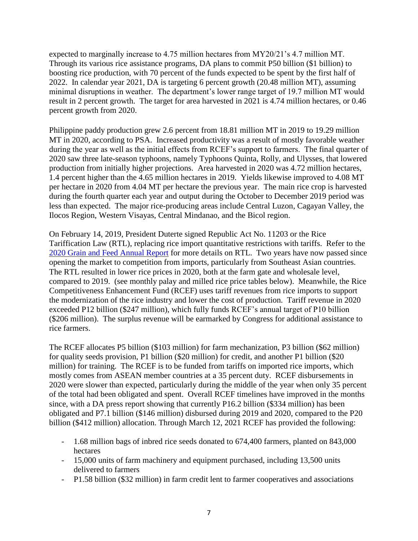expected to marginally increase to 4.75 million hectares from MY20/21's 4.7 million MT. Through its various rice assistance programs, DA plans to commit P50 billion (\$1 billion) to boosting rice production, with 70 percent of the funds expected to be spent by the first half of 2022. In calendar year 2021, DA is targeting 6 percent growth (20.48 million MT), assuming minimal disruptions in weather. The department's lower range target of 19.7 million MT would result in 2 percent growth. The target for area harvested in 2021 is 4.74 million hectares, or 0.46 percent growth from 2020.

Philippine paddy production grew 2.6 percent from 18.81 million MT in 2019 to 19.29 million MT in 2020, according to PSA. Increased productivity was a result of mostly favorable weather during the year as well as the initial effects from RCEF's support to farmers. The final quarter of 2020 saw three late-season typhoons, namely Typhoons Quinta, Rolly, and Ulysses, that lowered production from initially higher projections. Area harvested in 2020 was 4.72 million hectares, 1.4 percent higher than the 4.65 million hectares in 2019. Yields likewise improved to 4.08 MT per hectare in 2020 from 4.04 MT per hectare the previous year. The main rice crop is harvested during the fourth quarter each year and output during the October to December 2019 period was less than expected. The major rice-producing areas include Central Luzon, Cagayan Valley, the Ilocos Region, Western Visayas, Central Mindanao, and the Bicol region.

On February 14, 2019, President Duterte signed Republic Act No. 11203 or the Rice Tariffication Law (RTL), replacing rice import quantitative restrictions with tariffs. Refer to the [2020 Grain and Feed Annual Report](https://apps.fas.usda.gov/newgainapi/api/Report/DownloadReportByFileName?fileName=Grain%20and%20Feed%20Annual_Manila_Philippines_03-19-2020) for more details on RTL. Two years have now passed since opening the market to competition from imports, particularly from Southeast Asian countries. The RTL resulted in lower rice prices in 2020, both at the farm gate and wholesale level, compared to 2019. (see monthly palay and milled rice price tables below). Meanwhile, the Rice Competitiveness Enhancement Fund (RCEF) uses tariff revenues from rice imports to support the modernization of the rice industry and lower the cost of production. Tariff revenue in 2020 exceeded P12 billion (\$247 million), which fully funds RCEF's annual target of P10 billion (\$206 million). The surplus revenue will be earmarked by Congress for additional assistance to rice farmers.

The RCEF allocates P5 billion (\$103 million) for farm mechanization, P3 billion (\$62 million) for quality seeds provision, P1 billion (\$20 million) for credit, and another P1 billion (\$20 million) for training. The RCEF is to be funded from tariffs on imported rice imports, which mostly comes from ASEAN member countries at a 35 percent duty. RCEF disbursements in 2020 were slower than expected, particularly during the middle of the year when only 35 percent of the total had been obligated and spent. Overall RCEF timelines have improved in the months since, with a DA press report showing that currently P16.2 billion (\$334 million) has been obligated and P7.1 billion (\$146 million) disbursed during 2019 and 2020, compared to the P20 billion (\$412 million) allocation. Through March 12, 2021 RCEF has provided the following:

- 1.68 million bags of inbred rice seeds donated to 674,400 farmers, planted on 843,000 hectares
- 15,000 units of farm machinery and equipment purchased, including 13,500 units delivered to farmers
- P1.58 billion (\$32 million) in farm credit lent to farmer cooperatives and associations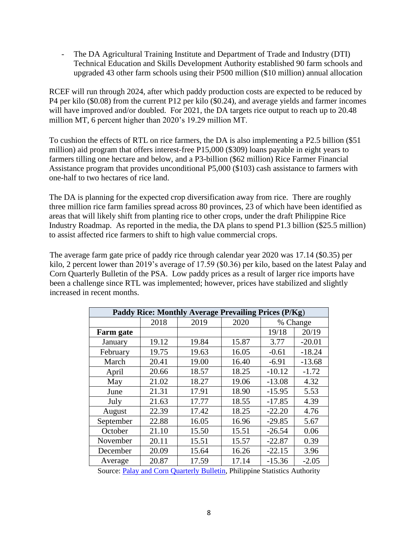- The DA Agricultural Training Institute and Department of Trade and Industry (DTI) Technical Education and Skills Development Authority established 90 farm schools and upgraded 43 other farm schools using their P500 million (\$10 million) annual allocation

RCEF will run through 2024, after which paddy production costs are expected to be reduced by P4 per kilo (\$0.08) from the current P12 per kilo (\$0.24), and average yields and farmer incomes will have improved and/or doubled. For 2021, the DA targets rice output to reach up to 20.48 million MT, 6 percent higher than 2020's 19.29 million MT.

To cushion the effects of RTL on rice farmers, the DA is also implementing a P2.5 billion (\$51 million) aid program that offers interest-free P15,000 (\$309) loans payable in eight years to farmers tilling one hectare and below, and a P3-billion (\$62 million) Rice Farmer Financial Assistance program that provides unconditional P5,000 (\$103) cash assistance to farmers with one-half to two hectares of rice land.

The DA is planning for the expected crop diversification away from rice. There are roughly three million rice farm families spread across 80 provinces, 23 of which have been identified as areas that will likely shift from planting rice to other crops, under the draft Philippine Rice Industry Roadmap. As reported in the media, the DA plans to spend P1.3 billion (\$25.5 million) to assist affected rice farmers to shift to high value commercial crops.

The average farm gate price of paddy rice through calendar year 2020 was 17.14 (\$0.35) per kilo, 2 percent lower than 2019's average of 17.59 (\$0.36) per kilo, based on the latest Palay and Corn Quarterly Bulletin of the PSA. Low paddy prices as a result of larger rice imports have been a challenge since RTL was implemented; however, prices have stabilized and slightly increased in recent months.

| Paddy Rice: Monthly Average Prevailing Prices (P/Kg) |       |       |       |          |          |  |  |  |  |
|------------------------------------------------------|-------|-------|-------|----------|----------|--|--|--|--|
|                                                      | 2018  | 2019  | 2020  |          | % Change |  |  |  |  |
| <b>Farm</b> gate                                     |       |       |       | 19/18    | 20/19    |  |  |  |  |
| January                                              | 19.12 | 19.84 | 15.87 | 3.77     | $-20.01$ |  |  |  |  |
| February                                             | 19.75 | 19.63 | 16.05 | $-0.61$  | $-18.24$ |  |  |  |  |
| March                                                | 20.41 | 19.00 | 16.40 | $-6.91$  | $-13.68$ |  |  |  |  |
| April                                                | 20.66 | 18.57 | 18.25 | $-10.12$ | $-1.72$  |  |  |  |  |
| May                                                  | 21.02 | 18.27 | 19.06 | $-13.08$ | 4.32     |  |  |  |  |
| June                                                 | 21.31 | 17.91 | 18.90 | $-15.95$ | 5.53     |  |  |  |  |
| July                                                 | 21.63 | 17.77 | 18.55 | $-17.85$ | 4.39     |  |  |  |  |
| August                                               | 22.39 | 17.42 | 18.25 | $-22.20$ | 4.76     |  |  |  |  |
| September                                            | 22.88 | 16.05 | 16.96 | $-29.85$ | 5.67     |  |  |  |  |
| October                                              | 21.10 | 15.50 | 15.51 | $-26.54$ | 0.06     |  |  |  |  |
| November                                             | 20.11 | 15.51 | 15.57 | $-22.87$ | 0.39     |  |  |  |  |
| December                                             | 20.09 | 15.64 | 16.26 | $-22.15$ | 3.96     |  |  |  |  |
| Average                                              | 20.87 | 17.59 | 17.14 | $-15.36$ | $-2.05$  |  |  |  |  |

Source: [Palay and Corn Quarterly Bulletin,](https://psa.gov.ph/sites/default/files/Palay%20and%20Corn%20Quarterly%20Bulletin%2C%20January%202021.pdf) Philippine Statistics Authority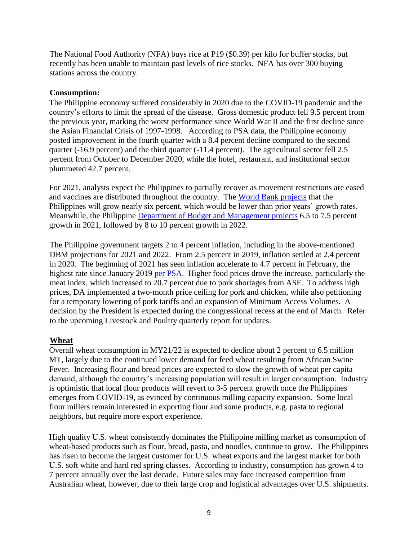The National Food Authority (NFA) buys rice at P19 (\$0.39) per kilo for buffer stocks, but recently has been unable to maintain past levels of rice stocks. NFA has over 300 buying stations across the country.

#### **Consumption:**

The Philippine economy suffered considerably in 2020 due to the COVID-19 pandemic and the country's efforts to limit the spread of the disease. Gross domestic product fell 9.5 percent from the previous year, marking the worst performance since World War II and the first decline since the Asian Financial Crisis of 1997-1998. According to PSA data, the Philippine economy posted improvement in the fourth quarter with a 8.4 percent decline compared to the second quarter (-16.9 percent) and the third quarter (-11.4 percent). The agricultural sector fell 2.5 percent from October to December 2020, while the hotel, restaurant, and institutional sector plummeted 42.7 percent.

For 2021, analysts expect the Philippines to partially recover as movement restrictions are eased and vaccines are distributed throughout the country. The [World Bank projects](http://documents1.worldbank.org/curated/en/983051607354214738/pdf/Philippines-Economic-Update-Building-a-Resilient-Recovery.pdf) that the Philippines will grow nearly six percent, which would be lower than prior years' growth rates. Meanwhile, the Philippine [Department of Budget and Management projects](https://www.dbm.gov.ph/index.php/dbcc-matters/macroeconomic-assumptions-and-fiscal-targets/178th-dbcc-meeting) 6.5 to 7.5 percent growth in 2021, followed by 8 to 10 percent growth in 2022.

The Philippine government targets 2 to 4 percent inflation, including in the above-mentioned DBM projections for 2021 and 2022. From 2.5 percent in 2019, inflation settled at 2.4 percent in 2020. The beginning of 2021 has seen inflation accelerate to 4.7 percent in February, the highest rate since January 2019 [per PSA.](https://psa.gov.ph/price-indices/cpi-ir/title/Summary%20Inflation%20Report%20Consumer%20Price%20Index%20%282012%3D100%29%3A%20February%202021) Higher food prices drove the increase, particularly the meat index, which increased to 20.7 percent due to pork shortages from ASF. To address high prices, DA implemented a two-month price ceiling for pork and chicken, while also petitioning for a temporary lowering of pork tariffs and an expansion of Minimum Access Volumes. A decision by the President is expected during the congressional recess at the end of March. Refer to the upcoming Livestock and Poultry quarterly report for updates.

# **Wheat**

Overall wheat consumption in MY21/22 is expected to decline about 2 percent to 6.5 million MT, largely due to the continued lower demand for feed wheat resulting from African Swine Fever. Increasing flour and bread prices are expected to slow the growth of wheat per capita demand, although the country's increasing population will result in larger consumption. Industry is optimistic that local flour products will revert to 3-5 percent growth once the Philippines emerges from COVID-19, as evinced by continuous milling capacity expansion. Some local flour millers remain interested in exporting flour and some products, e.g. pasta to regional neighbors, but require more export experience.

High quality U.S. wheat consistently dominates the Philippine milling market as consumption of wheat-based products such as flour, bread, pasta, and noodles, continue to grow. The Philippines has risen to become the largest customer for U.S. wheat exports and the largest market for both U.S. soft white and hard red spring classes. According to industry, consumption has grown 4 to 7 percent annually over the last decade. Future sales may face increased competition from Australian wheat, however, due to their large crop and logistical advantages over U.S. shipments.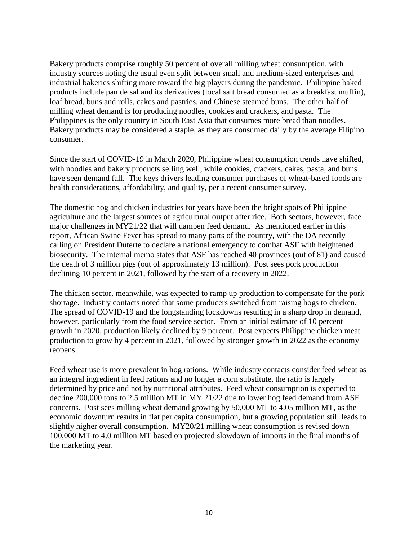Bakery products comprise roughly 50 percent of overall milling wheat consumption, with industry sources noting the usual even split between small and medium-sized enterprises and industrial bakeries shifting more toward the big players during the pandemic. Philippine baked products include pan de sal and its derivatives (local salt bread consumed as a breakfast muffin), loaf bread, buns and rolls, cakes and pastries, and Chinese steamed buns. The other half of milling wheat demand is for producing noodles, cookies and crackers, and pasta. The Philippines is the only country in South East Asia that consumes more bread than noodles. Bakery products may be considered a staple, as they are consumed daily by the average Filipino consumer.

Since the start of COVID-19 in March 2020, Philippine wheat consumption trends have shifted, with noodles and bakery products selling well, while cookies, crackers, cakes, pasta, and buns have seen demand fall. The keys drivers leading consumer purchases of wheat-based foods are health considerations, affordability, and quality, per a recent consumer survey.

The domestic hog and chicken industries for years have been the bright spots of Philippine agriculture and the largest sources of agricultural output after rice. Both sectors, however, face major challenges in MY21/22 that will dampen feed demand. As mentioned earlier in this report, African Swine Fever has spread to many parts of the country, with the DA recently calling on President Duterte to declare a national emergency to combat ASF with heightened biosecurity. The internal memo states that ASF has reached 40 provinces (out of 81) and caused the death of 3 million pigs (out of approximately 13 million). Post sees pork production declining 10 percent in 2021, followed by the start of a recovery in 2022.

The chicken sector, meanwhile, was expected to ramp up production to compensate for the pork shortage. Industry contacts noted that some producers switched from raising hogs to chicken. The spread of COVID-19 and the longstanding lockdowns resulting in a sharp drop in demand, however, particularly from the food service sector. From an initial estimate of 10 percent growth in 2020, production likely declined by 9 percent. Post expects Philippine chicken meat production to grow by 4 percent in 2021, followed by stronger growth in 2022 as the economy reopens.

Feed wheat use is more prevalent in hog rations. While industry contacts consider feed wheat as an integral ingredient in feed rations and no longer a corn substitute, the ratio is largely determined by price and not by nutritional attributes. Feed wheat consumption is expected to decline 200,000 tons to 2.5 million MT in MY 21/22 due to lower hog feed demand from ASF concerns. Post sees milling wheat demand growing by 50,000 MT to 4.05 million MT, as the economic downturn results in flat per capita consumption, but a growing population still leads to slightly higher overall consumption. MY20/21 milling wheat consumption is revised down 100,000 MT to 4.0 million MT based on projected slowdown of imports in the final months of the marketing year.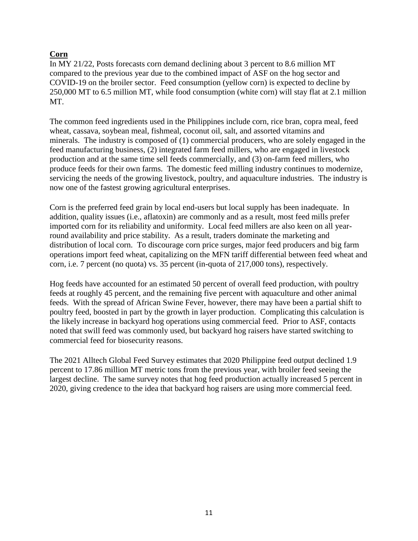# **Corn**

In MY 21/22, Posts forecasts corn demand declining about 3 percent to 8.6 million MT compared to the previous year due to the combined impact of ASF on the hog sector and COVID-19 on the broiler sector. Feed consumption (yellow corn) is expected to decline by 250,000 MT to 6.5 million MT, while food consumption (white corn) will stay flat at 2.1 million MT.

The common feed ingredients used in the Philippines include corn, rice bran, copra meal, feed wheat, cassava, soybean meal, fishmeal, coconut oil, salt, and assorted vitamins and minerals. The industry is composed of (1) commercial producers, who are solely engaged in the feed manufacturing business, (2) integrated farm feed millers, who are engaged in livestock production and at the same time sell feeds commercially, and (3) on-farm feed millers, who produce feeds for their own farms. The domestic feed milling industry continues to modernize, servicing the needs of the growing livestock, poultry, and aquaculture industries. The industry is now one of the fastest growing agricultural enterprises.

Corn is the preferred feed grain by local end-users but local supply has been inadequate. In addition, quality issues (i.e., aflatoxin) are commonly and as a result, most feed mills prefer imported corn for its reliability and uniformity. Local feed millers are also keen on all yearround availability and price stability. As a result, traders dominate the marketing and distribution of local corn. To discourage corn price surges, major feed producers and big farm operations import feed wheat, capitalizing on the MFN tariff differential between feed wheat and corn, i.e. 7 percent (no quota) vs. 35 percent (in-quota of 217,000 tons), respectively.

Hog feeds have accounted for an estimated 50 percent of overall feed production, with poultry feeds at roughly 45 percent, and the remaining five percent with aquaculture and other animal feeds. With the spread of African Swine Fever, however, there may have been a partial shift to poultry feed, boosted in part by the growth in layer production. Complicating this calculation is the likely increase in backyard hog operations using commercial feed. Prior to ASF, contacts noted that swill feed was commonly used, but backyard hog raisers have started switching to commercial feed for biosecurity reasons.

The 2021 Alltech Global Feed Survey estimates that 2020 Philippine feed output declined 1.9 percent to 17.86 million MT metric tons from the previous year, with broiler feed seeing the largest decline. The same survey notes that hog feed production actually increased 5 percent in 2020, giving credence to the idea that backyard hog raisers are using more commercial feed.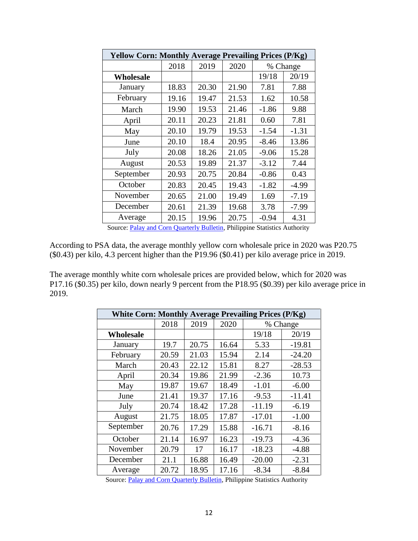| <b>Yellow Corn: Monthly Average Prevailing Prices (P/Kg)</b> |       |       |       |         |          |  |  |  |
|--------------------------------------------------------------|-------|-------|-------|---------|----------|--|--|--|
|                                                              | 2018  | 2019  | 2020  |         | % Change |  |  |  |
| Wholesale                                                    |       |       |       | 19/18   | 20/19    |  |  |  |
| January                                                      | 18.83 | 20.30 | 21.90 | 7.81    | 7.88     |  |  |  |
| February                                                     | 19.16 | 19.47 | 21.53 | 1.62    | 10.58    |  |  |  |
| March                                                        | 19.90 | 19.53 | 21.46 | $-1.86$ | 9.88     |  |  |  |
| April                                                        | 20.11 | 20.23 | 21.81 | 0.60    | 7.81     |  |  |  |
| May                                                          | 20.10 | 19.79 | 19.53 | $-1.54$ | $-1.31$  |  |  |  |
| June                                                         | 20.10 | 18.4  | 20.95 | $-8.46$ | 13.86    |  |  |  |
| July                                                         | 20.08 | 18.26 | 21.05 | $-9.06$ | 15.28    |  |  |  |
| August                                                       | 20.53 | 19.89 | 21.37 | $-3.12$ | 7.44     |  |  |  |
| September                                                    | 20.93 | 20.75 | 20.84 | $-0.86$ | 0.43     |  |  |  |
| October                                                      | 20.83 | 20.45 | 19.43 | $-1.82$ | $-4.99$  |  |  |  |
| November                                                     | 20.65 | 21.00 | 19.49 | 1.69    | $-7.19$  |  |  |  |
| December                                                     | 20.61 | 21.39 | 19.68 | 3.78    | $-7.99$  |  |  |  |
| Average                                                      | 20.15 | 19.96 | 20.75 | $-0.94$ | 4.31     |  |  |  |

Source: [Palay and Corn Quarterly Bulletin,](https://psa.gov.ph/sites/default/files/Palay%20and%20Corn%20Quarterly%20Bulletin%2C%20January%202021.pdf) Philippine Statistics Authority

According to PSA data, the average monthly yellow corn wholesale price in 2020 was P20.75 (\$0.43) per kilo, 4.3 percent higher than the P19.96 (\$0.41) per kilo average price in 2019.

The average monthly white corn wholesale prices are provided below, which for 2020 was P17.16 (\$0.35) per kilo, down nearly 9 percent from the P18.95 (\$0.39) per kilo average price in 2019.

| <b>White Corn: Monthly Average Prevailing Prices (P/Kg)</b> |       |       |       |          |          |  |  |  |
|-------------------------------------------------------------|-------|-------|-------|----------|----------|--|--|--|
|                                                             | 2018  | 2019  | 2020  |          | % Change |  |  |  |
| Wholesale                                                   |       |       |       | 19/18    | 20/19    |  |  |  |
| January                                                     | 19.7  | 20.75 | 16.64 | 5.33     | $-19.81$ |  |  |  |
| February                                                    | 20.59 | 21.03 | 15.94 | 2.14     | $-24.20$ |  |  |  |
| March                                                       | 20.43 | 22.12 | 15.81 | 8.27     | $-28.53$ |  |  |  |
| April                                                       | 20.34 | 19.86 | 21.99 | $-2.36$  | 10.73    |  |  |  |
| May                                                         | 19.87 | 19.67 | 18.49 | $-1.01$  | $-6.00$  |  |  |  |
| June                                                        | 21.41 | 19.37 | 17.16 | $-9.53$  | $-11.41$ |  |  |  |
| July                                                        | 20.74 | 18.42 | 17.28 | $-11.19$ | $-6.19$  |  |  |  |
| August                                                      | 21.75 | 18.05 | 17.87 | $-17.01$ | $-1.00$  |  |  |  |
| September                                                   | 20.76 | 17.29 | 15.88 | $-16.71$ | $-8.16$  |  |  |  |
| October                                                     | 21.14 | 16.97 | 16.23 | $-19.73$ | $-4.36$  |  |  |  |
| November                                                    | 20.79 | 17    | 16.17 | $-18.23$ | $-4.88$  |  |  |  |
| December                                                    | 21.1  | 16.88 | 16.49 | $-20.00$ | $-2.31$  |  |  |  |
| Average                                                     | 20.72 | 18.95 | 17.16 | $-8.34$  | $-8.84$  |  |  |  |

Source: [Palay and Corn Quarterly Bulletin,](https://psa.gov.ph/sites/default/files/Palay%20and%20Corn%20Quarterly%20Bulletin%2C%20January%202021.pdf) Philippine Statistics Authority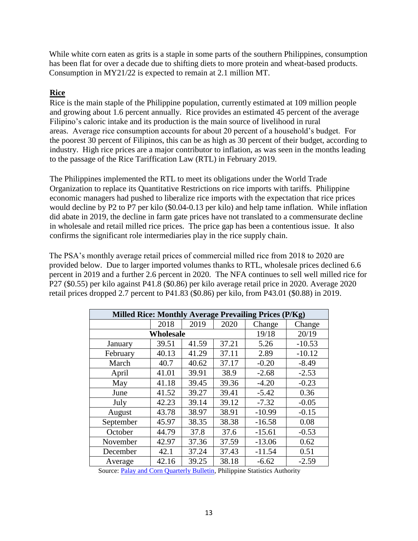While white corn eaten as grits is a staple in some parts of the southern Philippines, consumption has been flat for over a decade due to shifting diets to more protein and wheat-based products. Consumption in MY21/22 is expected to remain at 2.1 million MT.

# **Rice**

Rice is the main staple of the Philippine population, currently estimated at 109 million people and growing about 1.6 percent annually. Rice provides an estimated 45 percent of the average Filipino's caloric intake and its production is the main source of livelihood in rural areas. Average rice consumption accounts for about 20 percent of a household's budget. For the poorest 30 percent of Filipinos, this can be as high as 30 percent of their budget, according to industry. High rice prices are a major contributor to inflation, as was seen in the months leading to the passage of the Rice Tariffication Law (RTL) in February 2019.

The Philippines implemented the RTL to meet its obligations under the World Trade Organization to replace its Quantitative Restrictions on rice imports with tariffs. Philippine economic managers had pushed to liberalize rice imports with the expectation that rice prices would decline by P2 to P7 per kilo (\$0.04-0.13 per kilo) and help tame inflation. While inflation did abate in 2019, the decline in farm gate prices have not translated to a commensurate decline in wholesale and retail milled rice prices. The price gap has been a contentious issue. It also confirms the significant role intermediaries play in the rice supply chain.

The PSA's monthly average retail prices of commercial milled rice from 2018 to 2020 are provided below. Due to larger imported volumes thanks to RTL, wholesale prices declined 6.6 percent in 2019 and a further 2.6 percent in 2020. The NFA continues to sell well milled rice for P27 (\$0.55) per kilo against P41.8 (\$0.86) per kilo average retail price in 2020. Average 2020 retail prices dropped 2.7 percent to P41.83 (\$0.86) per kilo, from P43.01 (\$0.88) in 2019.

|           |           |       |       | Milled Rice: Monthly Average Prevailing Prices (P/Kg) |          |
|-----------|-----------|-------|-------|-------------------------------------------------------|----------|
|           | 2018      | 2019  | 2020  | Change                                                | Change   |
|           | Wholesale |       |       | 19/18                                                 | 20/19    |
| January   | 39.51     | 41.59 | 37.21 | 5.26                                                  | $-10.53$ |
| February  | 40.13     | 41.29 | 37.11 | 2.89                                                  | $-10.12$ |
| March     | 40.7      | 40.62 | 37.17 | $-0.20$                                               | $-8.49$  |
| April     | 41.01     | 39.91 | 38.9  | $-2.68$                                               | $-2.53$  |
| May       | 41.18     | 39.45 | 39.36 | $-4.20$                                               | $-0.23$  |
| June      | 41.52     | 39.27 | 39.41 | $-5.42$                                               | 0.36     |
| July      | 42.23     | 39.14 | 39.12 | $-7.32$                                               | $-0.05$  |
| August    | 43.78     | 38.97 | 38.91 | $-10.99$                                              | $-0.15$  |
| September | 45.97     | 38.35 | 38.38 | $-16.58$                                              | 0.08     |
| October   | 44.79     | 37.8  | 37.6  | $-15.61$                                              | $-0.53$  |
| November  | 42.97     | 37.36 | 37.59 | $-13.06$                                              | 0.62     |
| December  | 42.1      | 37.24 | 37.43 | $-11.54$                                              | 0.51     |
| Average   | 42.16     | 39.25 | 38.18 | $-6.62$                                               | $-2.59$  |

Source: [Palay and Corn Quarterly Bulletin,](https://psa.gov.ph/sites/default/files/Palay%20and%20Corn%20Quarterly%20Bulletin%2C%20January%202021.pdf) Philippine Statistics Authority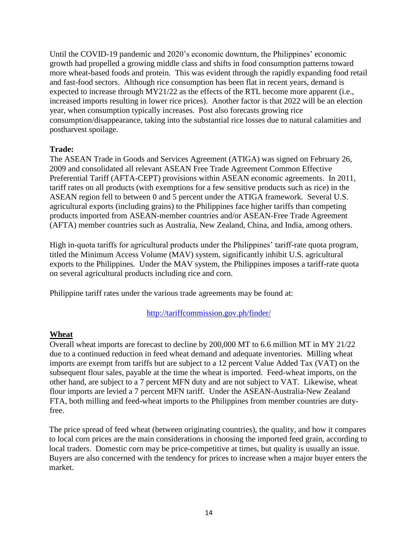Until the COVID-19 pandemic and 2020's economic downturn, the Philippines' economic growth had propelled a growing middle class and shifts in food consumption patterns toward more wheat-based foods and protein. This was evident through the rapidly expanding food retail and fast-food sectors. Although rice consumption has been flat in recent years, demand is expected to increase through MY21/22 as the effects of the RTL become more apparent (i.e., increased imports resulting in lower rice prices). Another factor is that 2022 will be an election year, when consumption typically increases. Post also forecasts growing rice consumption/disappearance, taking into the substantial rice losses due to natural calamities and postharvest spoilage.

#### **Trade:**

The ASEAN Trade in Goods and Services Agreement (ATIGA) was signed on February 26, 2009 and consolidated all relevant ASEAN Free Trade Agreement Common Effective Preferential Tariff (AFTA-CEPT) provisions within ASEAN economic agreements. In 2011, tariff rates on all products (with exemptions for a few sensitive products such as rice) in the ASEAN region fell to between 0 and 5 percent under the ATIGA framework. Several U.S. agricultural exports (including grains) to the Philippines face higher tariffs than competing products imported from ASEAN-member countries and/or ASEAN-Free Trade Agreement (AFTA) member countries such as Australia, New Zealand, China, and India, among others.

High in-quota tariffs for agricultural products under the Philippines' tariff-rate quota program, titled the Minimum Access Volume (MAV) system, significantly inhibit U.S. agricultural exports to the Philippines. Under the MAV system, the Philippines imposes a tariff-rate quota on several agricultural products including rice and corn.

Philippine tariff rates under the various trade agreements may be found at:

# <http://tariffcommission.gov.ph/finder/>

# **Wheat**

Overall wheat imports are forecast to decline by 200,000 MT to 6.6 million MT in MY 21/22 due to a continued reduction in feed wheat demand and adequate inventories. Milling wheat imports are exempt from tariffs but are subject to a 12 percent Value Added Tax (VAT) on the subsequent flour sales, payable at the time the wheat is imported. Feed-wheat imports, on the other hand, are subject to a 7 percent MFN duty and are not subject to VAT. Likewise, wheat flour imports are levied a 7 percent MFN tariff. Under the ASEAN-Australia-New Zealand FTA, both milling and feed-wheat imports to the Philippines from member countries are dutyfree.

The price spread of feed wheat (between originating countries), the quality, and how it compares to local corn prices are the main considerations in choosing the imported feed grain, according to local traders. Domestic corn may be price-competitive at times, but quality is usually an issue. Buyers are also concerned with the tendency for prices to increase when a major buyer enters the market.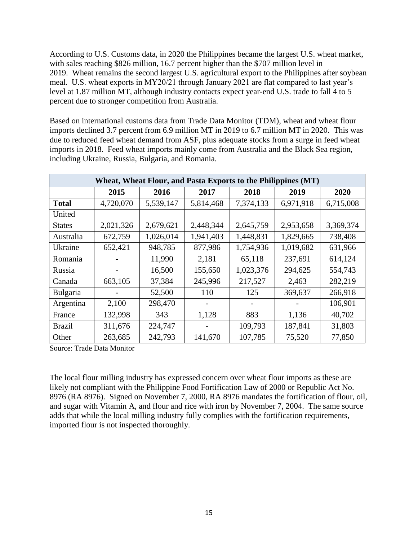According to U.S. Customs data, in 2020 the Philippines became the largest U.S. wheat market, with sales reaching \$826 million, 16.7 percent higher than the \$707 million level in 2019. Wheat remains the second largest U.S. agricultural export to the Philippines after soybean meal. U.S. wheat exports in MY20/21 through January 2021 are flat compared to last year's level at 1.87 million MT, although industry contacts expect year-end U.S. trade to fall 4 to 5 percent due to stronger competition from Australia.

Based on international customs data from Trade Data Monitor (TDM), wheat and wheat flour imports declined 3.7 percent from 6.9 million MT in 2019 to 6.7 million MT in 2020. This was due to reduced feed wheat demand from ASF, plus adequate stocks from a surge in feed wheat imports in 2018. Feed wheat imports mainly come from Australia and the Black Sea region, including Ukraine, Russia, Bulgaria, and Romania.

|               | Wheat, Wheat Flour, and Pasta Exports to the Philippines (MT) |           |           |           |           |           |  |  |  |  |
|---------------|---------------------------------------------------------------|-----------|-----------|-----------|-----------|-----------|--|--|--|--|
|               | 2015                                                          | 2016      | 2017      | 2018      | 2019      | 2020      |  |  |  |  |
| <b>Total</b>  | 4,720,070                                                     | 5,539,147 | 5,814,468 | 7,374,133 | 6,971,918 | 6,715,008 |  |  |  |  |
| United        |                                                               |           |           |           |           |           |  |  |  |  |
| <b>States</b> | 2,021,326                                                     | 2,679,621 | 2,448,344 | 2,645,759 | 2,953,658 | 3,369,374 |  |  |  |  |
| Australia     | 672,759                                                       | 1,026,014 | 1,941,403 | 1,448,831 | 1,829,665 | 738,408   |  |  |  |  |
| Ukraine       | 652,421                                                       | 948,785   | 877,986   | 1,754,936 | 1,019,682 | 631,966   |  |  |  |  |
| Romania       |                                                               | 11,990    | 2,181     | 65,118    | 237,691   | 614,124   |  |  |  |  |
| Russia        |                                                               | 16,500    | 155,650   | 1,023,376 | 294,625   | 554,743   |  |  |  |  |
| Canada        | 663,105                                                       | 37,384    | 245,996   | 217,527   | 2,463     | 282,219   |  |  |  |  |
| Bulgaria      |                                                               | 52,500    | 110       | 125       | 369,637   | 266,918   |  |  |  |  |
| Argentina     | 2,100                                                         | 298,470   |           |           |           | 106,901   |  |  |  |  |
| France        | 132,998                                                       | 343       | 1,128     | 883       | 1,136     | 40,702    |  |  |  |  |
| Brazil        | 311,676                                                       | 224,747   |           | 109,793   | 187,841   | 31,803    |  |  |  |  |
| Other         | 263,685                                                       | 242,793   | 141,670   | 107,785   | 75,520    | 77,850    |  |  |  |  |

Source: Trade Data Monitor

The local flour milling industry has expressed concern over wheat flour imports as these are likely not compliant with the Philippine Food Fortification Law of 2000 or Republic Act No. 8976 (RA 8976). Signed on November 7, 2000, RA 8976 mandates the fortification of flour, oil, and sugar with Vitamin A, and flour and rice with iron by November 7, 2004. The same source adds that while the local milling industry fully complies with the fortification requirements, imported flour is not inspected thoroughly.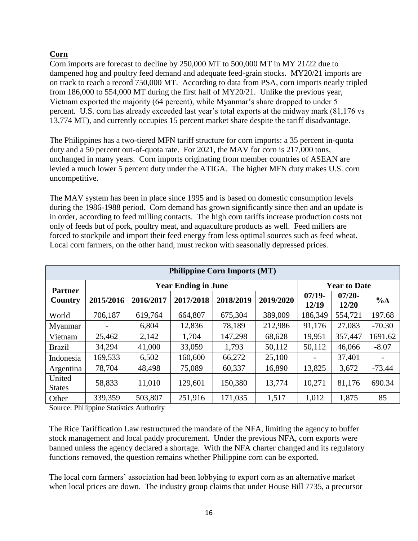# **Corn**

Corn imports are forecast to decline by 250,000 MT to 500,000 MT in MY 21/22 due to dampened hog and poultry feed demand and adequate feed-grain stocks. MY20/21 imports are on track to reach a record 750,000 MT. According to data from PSA, corn imports nearly tripled from 186,000 to 554,000 MT during the first half of MY20/21. Unlike the previous year, Vietnam exported the majority (64 percent), while Myanmar's share dropped to under 5 percent. U.S. corn has already exceeded last year's total exports at the midway mark (81,176 vs 13,774 MT), and currently occupies 15 percent market share despite the tariff disadvantage.

The Philippines has a two-tiered MFN tariff structure for corn imports: a 35 percent in-quota duty and a 50 percent out-of-quota rate. For 2021, the MAV for corn is 217,000 tons, unchanged in many years. Corn imports originating from member countries of ASEAN are levied a much lower 5 percent duty under the ATIGA. The higher MFN duty makes U.S. corn uncompetitive.

The MAV system has been in place since 1995 and is based on domestic consumption levels during the 1986-1988 period. Corn demand has grown significantly since then and an update is in order, according to feed milling contacts. The high corn tariffs increase production costs not only of feeds but of pork, poultry meat, and aquaculture products as well. Feed millers are forced to stockpile and import their feed energy from less optimal sources such as feed wheat. Local corn farmers, on the other hand, must reckon with seasonally depressed prices.

| <b>Philippine Corn Imports (MT)</b> |           |           |                            |           |           |                   |                     |             |  |  |
|-------------------------------------|-----------|-----------|----------------------------|-----------|-----------|-------------------|---------------------|-------------|--|--|
| <b>Partner</b>                      |           |           | <b>Year Ending in June</b> |           |           |                   | <b>Year to Date</b> |             |  |  |
| Country                             | 2015/2016 | 2016/2017 | 2017/2018                  | 2018/2019 | 2019/2020 | $07/19-$<br>12/19 | $07/20 -$<br>12/20  | $\% \Delta$ |  |  |
| World                               | 706,187   | 619,764   | 664,807                    | 675,304   | 389,009   | 186,349           | 554,721             | 197.68      |  |  |
| Myanmar                             |           | 6,804     | 12,836                     | 78,189    | 212,986   | 91,176            | 27,083              | $-70.30$    |  |  |
| Vietnam                             | 25,462    | 2,142     | 1,704                      | 147,298   | 68,628    | 19,951            | 357,447             | 1691.62     |  |  |
| <b>Brazil</b>                       | 34,294    | 41,000    | 33,059                     | 1,793     | 50,112    | 50,112            | 46,066              | $-8.07$     |  |  |
| Indonesia                           | 169,533   | 6,502     | 160,600                    | 66,272    | 25,100    |                   | 37,401              |             |  |  |
| Argentina                           | 78,704    | 48,498    | 75,089                     | 60,337    | 16,890    | 13,825            | 3,672               | $-73.44$    |  |  |
| United<br><b>States</b>             | 58,833    | 11,010    | 129,601                    | 150,380   | 13,774    | 10,271            | 81,176              | 690.34      |  |  |
| Other                               | 339,359   | 503,807   | 251,916                    | 171,035   | 1,517     | 1,012             | 1,875               | 85          |  |  |

Source: Philippine Statistics Authority

The Rice Tariffication Law restructured the mandate of the NFA, limiting the agency to buffer stock management and local paddy procurement. Under the previous NFA, corn exports were banned unless the agency declared a shortage. With the NFA charter changed and its regulatory functions removed, the question remains whether Philippine corn can be exported.

The local corn farmers' association had been lobbying to export corn as an alternative market when local prices are down. The industry group claims that under House Bill 7735, a precursor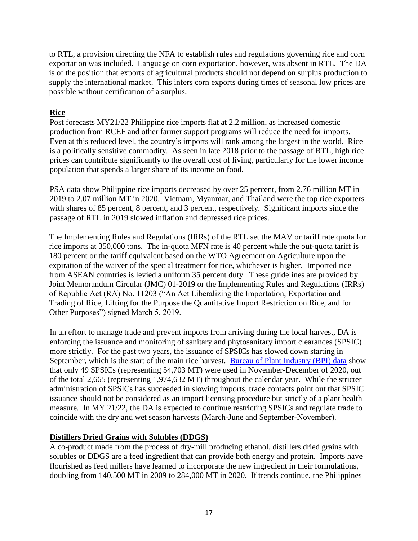to RTL, a provision directing the NFA to establish rules and regulations governing rice and corn exportation was included. Language on corn exportation, however, was absent in RTL. The DA is of the position that exports of agricultural products should not depend on surplus production to supply the international market. This infers corn exports during times of seasonal low prices are possible without certification of a surplus.

# **Rice**

Post forecasts MY21/22 Philippine rice imports flat at 2.2 million, as increased domestic production from RCEF and other farmer support programs will reduce the need for imports. Even at this reduced level, the country's imports will rank among the largest in the world. Rice is a politically sensitive commodity. As seen in late 2018 prior to the passage of RTL, high rice prices can contribute significantly to the overall cost of living, particularly for the lower income population that spends a larger share of its income on food.

PSA data show Philippine rice imports decreased by over 25 percent, from 2.76 million MT in 2019 to 2.07 million MT in 2020. Vietnam, Myanmar, and Thailand were the top rice exporters with shares of 85 percent, 8 percent, and 3 percent, respectively. Significant imports since the passage of RTL in 2019 slowed inflation and depressed rice prices.

The Implementing Rules and Regulations (IRRs) of the RTL set the MAV or tariff rate quota for rice imports at 350,000 tons. The in-quota MFN rate is 40 percent while the out-quota tariff is 180 percent or the tariff equivalent based on the WTO Agreement on Agriculture upon the expiration of the waiver of the special treatment for rice, whichever is higher. Imported rice from ASEAN countries is levied a uniform 35 percent duty. These guidelines are provided by Joint Memorandum Circular (JMC) 01-2019 or the Implementing Rules and Regulations (IRRs) of Republic Act (RA) No. 11203 ("An Act Liberalizing the Importation, Exportation and Trading of Rice, Lifting for the Purpose the Quantitative Import Restriction on Rice, and for Other Purposes") signed March 5, 2019.

In an effort to manage trade and prevent imports from arriving during the local harvest, DA is enforcing the issuance and monitoring of sanitary and phytosanitary import clearances (SPSIC) more strictly. For the past two years, the issuance of SPSICs has slowed down starting in September, which is the start of the main rice harvest. [Bureau of Plant Industry \(BPI\) data](http://bpi.da.gov.ph/bpi/index.php/reports-documentation/spsic-for-rice/9438-spsic-issued-and-volume-applied-per-month-december-4-2020) show that only 49 SPSICs (representing 54,703 MT) were used in November-December of 2020, out of the total 2,665 (representing 1,974,632 MT) throughout the calendar year. While the stricter administration of SPSICs has succeeded in slowing imports, trade contacts point out that SPSIC issuance should not be considered as an import licensing procedure but strictly of a plant health measure. In MY 21/22, the DA is expected to continue restricting SPSICs and regulate trade to coincide with the dry and wet season harvests (March-June and September-November).

# **Distillers Dried Grains with Solubles (DDGS)**

A co-product made from the process of dry-mill producing ethanol, distillers dried grains with solubles or DDGS are a feed ingredient that can provide both energy and protein. Imports have flourished as feed millers have learned to incorporate the new ingredient in their formulations, doubling from 140,500 MT in 2009 to 284,000 MT in 2020. If trends continue, the Philippines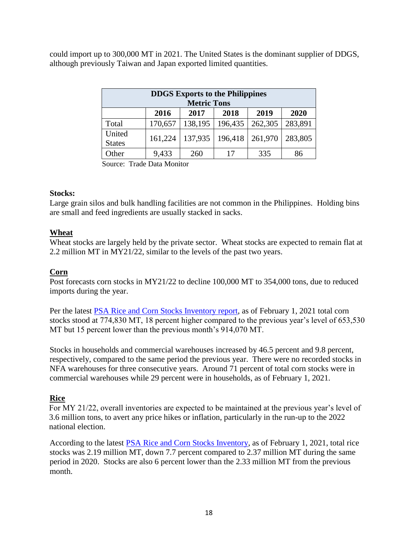could import up to 300,000 MT in 2021. The United States is the dominant supplier of DDGS, although previously Taiwan and Japan exported limited quantities.

| <b>DDGS</b> Exports to the Philippines<br><b>Metric Tons</b> |         |         |         |         |         |  |  |  |
|--------------------------------------------------------------|---------|---------|---------|---------|---------|--|--|--|
| 2019<br>2020<br>2017<br>2018<br>2016                         |         |         |         |         |         |  |  |  |
| Total                                                        | 170,657 | 138,195 | 196,435 | 262,305 | 283,891 |  |  |  |
| United<br><b>States</b>                                      | 161,224 | 137,935 | 196,418 | 261,970 | 283,805 |  |  |  |
| Other                                                        | 9,433   | 260     | 17      | 335     | 86      |  |  |  |

Source: Trade Data Monitor

#### **Stocks:**

Large grain silos and bulk handling facilities are not common in the Philippines. Holding bins are small and feed ingredients are usually stacked in sacks.

#### **Wheat**

Wheat stocks are largely held by the private sector. Wheat stocks are expected to remain flat at 2.2 million MT in MY21/22, similar to the levels of the past two years.

#### **Corn**

Post forecasts corn stocks in MY21/22 to decline 100,000 MT to 354,000 tons, due to reduced imports during the year.

Per the latest [PSA Rice and Corn Stocks Inventory report,](https://gcc02.safelinks.protection.outlook.com/?url=https%3A%2F%2Fpsa.gov.ph%2Fsites%2Fdefault%2Ffiles%2FRice%2520and%2520Corn%2520Stocks%2520Inventory%252C%2520February%25202021_0.pdf&data=04%7C01%7CBedfordRG%40state.gov%7C337a05fdc48545ff481008d8eb0d6d1c%7C66cf50745afe48d1a691a12b2121f44b%7C0%7C1%7C637517790190273007%7CUnknown%7CTWFpbGZsb3d8eyJWIjoiMC4wLjAwMDAiLCJQIjoiV2luMzIiLCJBTiI6Ik1haWwiLCJXVCI6Mn0%3D%7C0&sdata=RxoEMsprkFhjprhp1eLDBwxWr6S9CVKcpd78TYcbs4o%3D&reserved=0) as of February 1, 2021 total corn stocks stood at 774,830 MT, 18 percent higher compared to the previous year's level of 653,530 MT but 15 percent lower than the previous month's 914,070 MT.

Stocks in households and commercial warehouses increased by 46.5 percent and 9.8 percent, respectively, compared to the same period the previous year. There were no recorded stocks in NFA warehouses for three consecutive years. Around 71 percent of total corn stocks were in commercial warehouses while 29 percent were in households, as of February 1, 2021.

# **Rice**

For MY 21/22, overall inventories are expected to be maintained at the previous year's level of 3.6 million tons, to avert any price hikes or inflation, particularly in the run-up to the 2022 national election.

According to the latest **PSA Rice and Corn Stocks Inventory**, as of February 1, 2021, total rice stocks was 2.19 million MT, down 7.7 percent compared to 2.37 million MT during the same period in 2020. Stocks are also 6 percent lower than the 2.33 million MT from the previous month.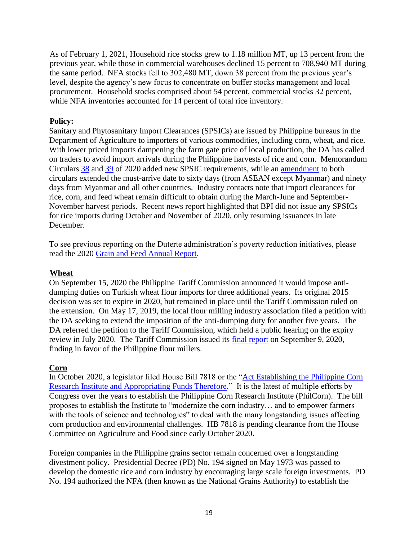As of February 1, 2021, Household rice stocks grew to 1.18 million MT, up 13 percent from the previous year, while those in commercial warehouses declined 15 percent to 708,940 MT during the same period. NFA stocks fell to 302,480 MT, down 38 percent from the previous year's level, despite the agency's new focus to concentrate on buffer stocks management and local procurement. Household stocks comprised about 54 percent, commercial stocks 32 percent, while NFA inventories accounted for 14 percent of total rice inventory.

#### **Policy:**

Sanitary and Phytosanitary Import Clearances (SPSICs) are issued by Philippine bureaus in the Department of Agriculture to importers of various commodities, including corn, wheat, and rice. With lower priced imports dampening the farm gate price of local production, the DA has called on traders to avoid import arrivals during the Philippine harvests of rice and corn. Memorandum Circulars [38](https://www.da.gov.ph/wp-content/uploads/2020/12/MC38_2020.pdf) and [39](https://www.da.gov.ph/wp-content/uploads/2020/12/MC39_2020.pdf) of 2020 added new SPSIC requirements, while an [amendment](https://www.da.gov.ph/wp-content/uploads/2020/12/mc43_s2020.pdf) to both circulars extended the must-arrive date to sixty days (from ASEAN except Myanmar) and ninety days from Myanmar and all other countries. Industry contacts note that import clearances for rice, corn, and feed wheat remain difficult to obtain during the March-June and September-November harvest periods. Recent news report highlighted that BPI did not issue any SPSICs for rice imports during October and November of 2020, only resuming issuances in late December.

To see previous reporting on the Duterte administration's poverty reduction initiatives, please read the 2020 [Grain and Feed Annual Report.](https://apps.fas.usda.gov/newgainapi/api/Report/DownloadReportByFileName?fileName=Grain%20and%20Feed%20Annual_Manila_Philippines_03-19-2020)

#### **Wheat**

On September 15, 2020 the Philippine Tariff Commission announced it would impose antidumping duties on Turkish wheat flour imports for three additional years. Its original 2015 decision was set to expire in 2020, but remained in place until the Tariff Commission ruled on the extension. On May 17, 2019, the local flour milling industry association filed a petition with the DA seeking to extend the imposition of the anti-dumping duty for another five years. The DA referred the petition to the Tariff Commission, which held a public hearing on the expiry review in July 2020. The Tariff Commission issued its [final report](https://drive.google.com/file/d/1TVTPgrSg3PeTS3CMhgcILn8v7g-Iph1t/view) on September 9, 2020, finding in favor of the Philippine flour millers.

#### **Corn**

In October 2020, a legislator filed House Bill 7818 or the ["Act Establishing the Philippine Corn](https://www.congress.gov.ph/legisdocs/basic_18/HB07818.pdf)  [Research Institute and Appropriating Funds Therefore.](https://www.congress.gov.ph/legisdocs/basic_18/HB07818.pdf)" It is the latest of multiple efforts by Congress over the years to establish the Philippine Corn Research Institute (PhilCorn). The bill proposes to establish the Institute to "modernize the corn industry… and to empower farmers with the tools of science and technologies" to deal with the many longstanding issues affecting corn production and environmental challenges. HB 7818 is pending clearance from the House Committee on Agriculture and Food since early October 2020.

Foreign companies in the Philippine grains sector remain concerned over a longstanding divestment policy. Presidential Decree (PD) No. 194 signed on May 1973 was passed to develop the domestic rice and corn industry by encouraging large scale foreign investments. PD No. 194 authorized the NFA (then known as the National Grains Authority) to establish the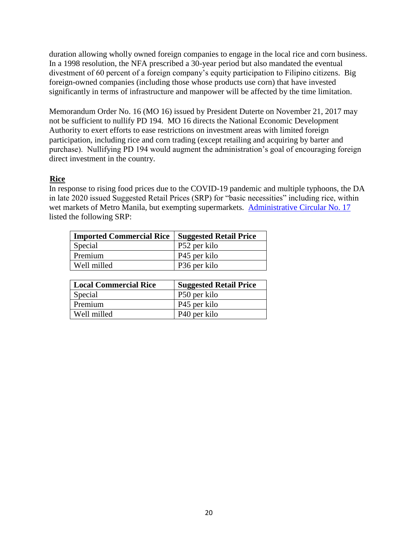duration allowing wholly owned foreign companies to engage in the local rice and corn business. In a 1998 resolution, the NFA prescribed a 30-year period but also mandated the eventual divestment of 60 percent of a foreign company's equity participation to Filipino citizens. Big foreign-owned companies (including those whose products use corn) that have invested significantly in terms of infrastructure and manpower will be affected by the time limitation.

Memorandum Order No. 16 (MO 16) issued by President Duterte on November 21, 2017 may not be sufficient to nullify PD 194. MO 16 directs the National Economic Development Authority to exert efforts to ease restrictions on investment areas with limited foreign participation, including rice and corn trading (except retailing and acquiring by barter and purchase). Nullifying PD 194 would augment the administration's goal of encouraging foreign direct investment in the country.

# **Rice**

In response to rising food prices due to the COVID-19 pandemic and multiple typhoons, the DA in late 2020 issued Suggested Retail Prices (SRP) for "basic necessities" including rice, within wet markets of Metro Manila, but exempting supermarkets. [Administrative Circular No. 17](https://www.da.gov.ph/wp-content/uploads/2020/11/ac17_s2020.pdf) listed the following SRP:

| <b>Imported Commercial Rice   Suggested Retail Price</b> |              |
|----------------------------------------------------------|--------------|
| Special                                                  | P52 per kilo |
| Premium                                                  | P45 per kilo |
| Well milled                                              | P36 per kilo |

| <b>Local Commercial Rice</b> | <b>Suggested Retail Price</b> |
|------------------------------|-------------------------------|
| Special                      | P50 per kilo                  |
| Premium                      | P <sub>45</sub> per kilo      |
| Well milled                  | P <sub>40</sub> per kilo      |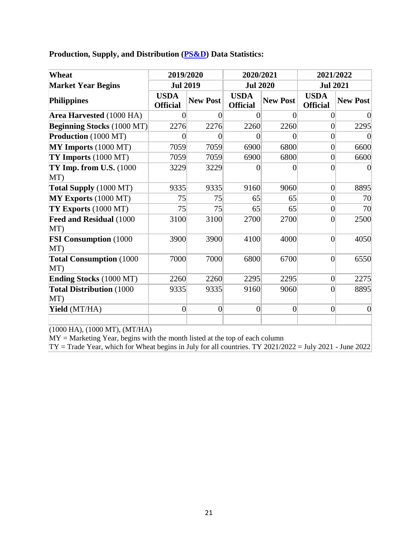**Production, Supply, and Distribution [\(PS&D\)](https://apps.fas.usda.gov/psdonline/app/index.html#/app/home) Data Statistics:**

| Wheat                                   | 2019/2020                          |                 | 2020/2021                      |                 | 2021/2022                      |                 |  |
|-----------------------------------------|------------------------------------|-----------------|--------------------------------|-----------------|--------------------------------|-----------------|--|
| <b>Market Year Begins</b>               | <b>Jul 2019</b><br><b>Jul 2020</b> |                 | <b>Jul 2021</b>                |                 |                                |                 |  |
| <b>Philippines</b>                      | <b>USDA</b><br><b>Official</b>     | <b>New Post</b> | <b>USDA</b><br><b>Official</b> | <b>New Post</b> | <b>USDA</b><br><b>Official</b> | <b>New Post</b> |  |
| Area Harvested (1000 HA)                | 0                                  | $\Omega$        | $\left($                       | $\Omega$        | 0                              |                 |  |
| <b>Beginning Stocks (1000 MT)</b>       | 2276                               | 2276            | 2260                           | 2260            | $\overline{0}$                 | 2295            |  |
| Production (1000 MT)                    | 0                                  | $\Omega$        | 0                              | $\Omega$        | $\overline{0}$                 |                 |  |
| MY Imports (1000 MT)                    | 7059                               | 7059            | 6900                           | 6800            | $\overline{0}$                 | 6600            |  |
| TY Imports (1000 MT)                    | 7059                               | 7059            | 6900                           | 6800            | $\overline{0}$                 | 6600            |  |
| $TY$ Imp. from U.S. $(1000)$<br>MT)     | 3229                               | 3229            | $\theta$                       | $\Omega$        | 0                              |                 |  |
| Total Supply (1000 MT)                  | 9335                               | 9335            | 9160                           | 9060            | $\overline{0}$                 | 8895            |  |
| MY Exports (1000 MT)                    | 75                                 | 75              | 65                             | 65              | $\overline{0}$                 | 70              |  |
| $TY$ Exports $(1000$ MT)                | 75                                 | 75              | 65                             | 65              | $\overline{0}$                 | 70              |  |
| Feed and Residual (1000<br>MT)          | 3100                               | 3100            | 2700                           | 2700            | $\overline{0}$                 | 2500            |  |
| <b>FSI Consumption (1000)</b><br>MT)    | 3900                               | 3900            | 4100                           | 4000            | $\overline{0}$                 | 4050            |  |
| <b>Total Consumption (1000)</b><br>MT)  | 7000                               | 7000            | 6800                           | 6700            | $\overline{0}$                 | 6550            |  |
| <b>Ending Stocks (1000 MT)</b>          | 2260                               | 2260            | 2295                           | 2295            | $\overline{0}$                 | 2275            |  |
| <b>Total Distribution (1000)</b><br>MT) | 9335                               | 9335            | 9160                           | 9060            | $\overline{0}$                 | 8895            |  |
| Yield (MT/HA)                           | $\overline{0}$                     | $\overline{0}$  | $\boldsymbol{0}$               | $\overline{0}$  | $\overline{0}$                 | $\overline{0}$  |  |

(1000 HA), (1000 MT), (MT/HA)

 $MY = Marketing$  Year, begins with the month listed at the top of each column

TY = Trade Year, which for Wheat begins in July for all countries. TY 2021/2022 = July 2021 - June 2022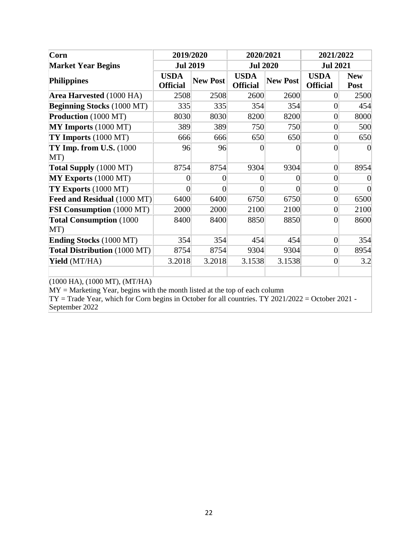| Corn                                   | 2019/2020                      |                 | 2020/2021                      |                 | 2021/2022                      |                           |
|----------------------------------------|--------------------------------|-----------------|--------------------------------|-----------------|--------------------------------|---------------------------|
| <b>Market Year Begins</b>              | <b>Jul 2019</b>                |                 | <b>Jul 2020</b>                | <b>Jul 2021</b> |                                |                           |
| <b>Philippines</b>                     | <b>USDA</b><br><b>Official</b> | <b>New Post</b> | <b>USDA</b><br><b>Official</b> | <b>New Post</b> | <b>USDA</b><br><b>Official</b> | <b>New</b><br><b>Post</b> |
| Area Harvested (1000 HA)               | 2508                           | 2508            | 2600                           | 2600            | $\overline{0}$                 | 2500                      |
| <b>Beginning Stocks (1000 MT)</b>      | 335                            | 335             | 354                            | 354             | $\overline{0}$                 | 454                       |
| Production (1000 MT)                   | 8030                           | 8030            | 8200                           | 8200            | $\overline{0}$                 | 8000                      |
| MY Imports (1000 MT)                   | 389                            | 389             | 750                            | 750             | $\overline{0}$                 | 500                       |
| TY Imports (1000 MT)                   | 666                            | 666             | 650                            | 650             | $\vert 0 \vert$                | 650                       |
| $TY$ Imp. from U.S. $(1000)$           | 96                             | 96              | 0                              | 0               | $\overline{0}$                 |                           |
| MT)                                    |                                |                 |                                |                 |                                |                           |
| Total Supply (1000 MT)                 | 8754                           | 8754            | 9304                           | 9304            | $\vert 0 \vert$                | 8954                      |
| MY Exports (1000 MT)                   | $\overline{0}$                 | 0               | 0                              | 0               | $\overline{0}$                 |                           |
| TY Exports (1000 MT)                   | $\theta$                       | 0               | $\theta$                       | 0               | $\vert 0 \vert$                |                           |
| Feed and Residual (1000 MT)            | 6400                           | 6400            | 6750                           | 6750            | $\overline{0}$                 | 6500                      |
| <b>FSI Consumption</b> (1000 MT)       | 2000                           | 2000            | 2100                           | 2100            | $\vert 0 \vert$                | 2100                      |
| <b>Total Consumption (1000)</b><br>MT) | 8400                           | 8400            | 8850                           | 8850            | $\theta$                       | 8600                      |
| <b>Ending Stocks (1000 MT)</b>         | 354                            | 354             | 454                            | 454             | $\vert 0 \vert$                | 354                       |
| Total Distribution (1000 MT)           | 8754                           | 8754            | 9304                           | 9304            | $\vert 0 \vert$                | 8954                      |
| Yield (MT/HA)                          | 3.2018                         | 3.2018          | 3.1538                         | 3.1538          | $\overline{0}$                 | 3.2                       |

(1000 HA), (1000 MT), (MT/HA)

MY = Marketing Year, begins with the month listed at the top of each column

TY = Trade Year, which for Corn begins in October for all countries. TY 2021/2022 = October 2021 - September 2022